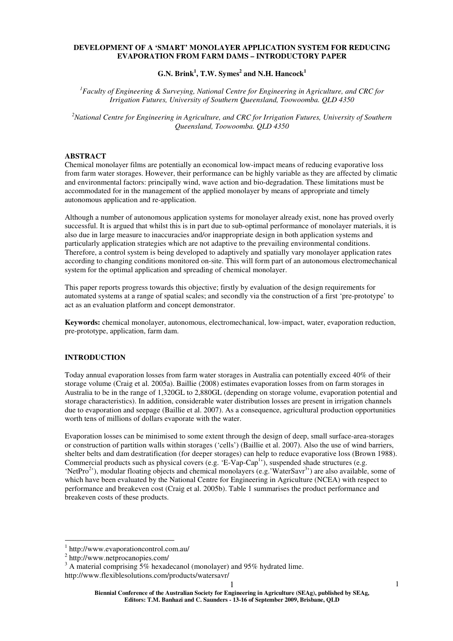### **DEVELOPMENT OF A 'SMART' MONOLAYER APPLICATION SYSTEM FOR REDUCING EVAPORATION FROM FARM DAMS – INTRODUCTORY PAPER**

# **G.N. Brink<sup>1</sup> , T.W. Symes<sup>2</sup> and N.H. Hancock<sup>1</sup>**

*<sup>1</sup>Faculty of Engineering & Surveying, National Centre for Engineering in Agriculture, and CRC for Irrigation Futures, University of Southern Queensland, Toowoomba. QLD 4350* 

*<sup>2</sup>National Centre for Engineering in Agriculture, and CRC for Irrigation Futures, University of Southern Queensland, Toowoomba. QLD 4350* 

### **ABSTRACT**

Chemical monolayer films are potentially an economical low-impact means of reducing evaporative loss from farm water storages. However, their performance can be highly variable as they are affected by climatic and environmental factors: principally wind, wave action and bio-degradation. These limitations must be accommodated for in the management of the applied monolayer by means of appropriate and timely autonomous application and re-application.

Although a number of autonomous application systems for monolayer already exist, none has proved overly successful. It is argued that whilst this is in part due to sub-optimal performance of monolayer materials, it is also due in large measure to inaccuracies and/or inappropriate design in both application systems and particularly application strategies which are not adaptive to the prevailing environmental conditions. Therefore, a control system is being developed to adaptively and spatially vary monolayer application rates according to changing conditions monitored on-site. This will form part of an autonomous electromechanical system for the optimal application and spreading of chemical monolayer.

This paper reports progress towards this objective; firstly by evaluation of the design requirements for automated systems at a range of spatial scales; and secondly via the construction of a first 'pre-prototype' to act as an evaluation platform and concept demonstrator.

**Keywords:** chemical monolayer, autonomous, electromechanical, low-impact, water, evaporation reduction, pre-prototype, application, farm dam.

# **INTRODUCTION**

Today annual evaporation losses from farm water storages in Australia can potentially exceed 40% of their storage volume (Craig et al. 2005a). Baillie (2008) estimates evaporation losses from on farm storages in Australia to be in the range of 1,320GL to 2,880GL (depending on storage volume, evaporation potential and storage characteristics). In addition, considerable water distribution losses are present in irrigation channels due to evaporation and seepage (Baillie et al. 2007). As a consequence, agricultural production opportunities worth tens of millions of dollars evaporate with the water.

Evaporation losses can be minimised to some extent through the design of deep, small surface-area-storages or construction of partition walls within storages ('cells') (Baillie et al. 2007). Also the use of wind barriers, shelter belts and dam destratification (for deeper storages) can help to reduce evaporative loss (Brown 1988). Commercial products such as physical covers (e.g. 'E-Vap-Cap<sup>1</sup>'), suspended shade structures (e.g. 'NetPro<sup>2</sup>'), modular floating objects and chemical monolayers (e.g.'WaterSavr<sup>3</sup>') are also available, some of which have been evaluated by the National Centre for Engineering in Agriculture (NCEA) with respect to performance and breakeven cost (Craig et al. 2005b). Table 1 summarises the product performance and breakeven costs of these products.

 $\overline{a}$ 

<sup>1</sup> http://www.evaporationcontrol.com.au/

<sup>2</sup> http://www.netprocanopies.com/

 $3$  A material comprising 5% hexadecanol (monolayer) and 95% hydrated lime. http://www.flexiblesolutions.com/products/watersavr/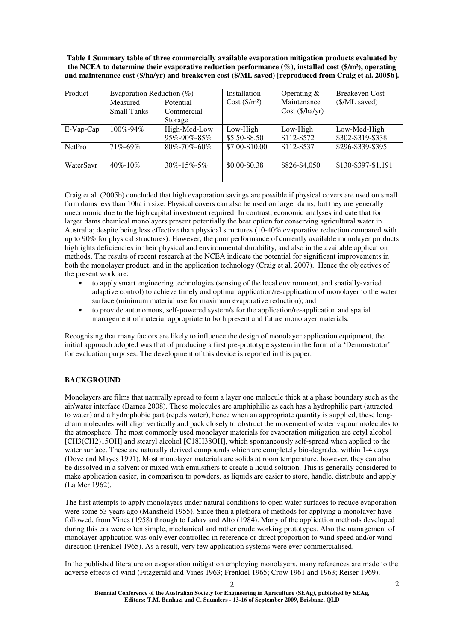**Table 1 Summary table of three commercially available evaporation mitigation products evaluated by the NCEA to determine their evaporative reduction performance (%), installed cost (\$/m²), operating and maintenance cost (\$/ha/yr) and breakeven cost (\$/ML saved) [reproduced from Craig et al. 2005b].** 

| Product       | Evaporation Reduction $(\%)$ |                      | <b>Installation</b>    | Operating $&$     | <b>Breakeven Cost</b> |
|---------------|------------------------------|----------------------|------------------------|-------------------|-----------------------|
|               | Measured                     | Potential            | $Cost ($\text{/}m^2$)$ | Maintenance       | (\$/ML saved)         |
|               | <b>Small Tanks</b>           | Commercial           |                        | $Cost$ (\$/ha/yr) |                       |
|               |                              | Storage              |                        |                   |                       |
| $E-Vap-Cap$   | $100\% - 94\%$               | High-Med-Low         | Low-High               | Low-High          | Low-Med-High          |
|               |                              | 95%-90%-85%          | \$5.50-\$8.50          | \$112-\$572       | \$302-\$319-\$338     |
| <b>NetPro</b> | $71\% - 69\%$                | $80\% - 70\% - 60\%$ | \$7.00-\$10.00         | \$112-\$537       | \$296-\$339-\$395     |
| WaterSavr     | $40\% - 10\%$                | $30\% - 15\% - 5\%$  | $$0.00 - $0.38$        | \$826-\$4,050     | \$130-\$397-\$1,191   |

Craig et al. (2005b) concluded that high evaporation savings are possible if physical covers are used on small farm dams less than 10ha in size. Physical covers can also be used on larger dams, but they are generally uneconomic due to the high capital investment required. In contrast, economic analyses indicate that for larger dams chemical monolayers present potentially the best option for conserving agricultural water in Australia; despite being less effective than physical structures (10-40% evaporative reduction compared with up to 90% for physical structures). However, the poor performance of currently available monolayer products highlights deficiencies in their physical and environmental durability, and also in the available application methods. The results of recent research at the NCEA indicate the potential for significant improvements in both the monolayer product, and in the application technology (Craig et al. 2007). Hence the objectives of the present work are:

- to apply smart engineering technologies (sensing of the local environment, and spatially-varied adaptive control) to achieve timely and optimal application/re-application of monolayer to the water surface (minimum material use for maximum evaporative reduction); and
- to provide autonomous, self-powered system/s for the application/re-application and spatial management of material appropriate to both present and future monolayer materials.

Recognising that many factors are likely to influence the design of monolayer application equipment, the initial approach adopted was that of producing a first pre-prototype system in the form of a 'Demonstrator' for evaluation purposes. The development of this device is reported in this paper.

## **BACKGROUND**

Monolayers are films that naturally spread to form a layer one molecule thick at a phase boundary such as the air/water interface (Barnes 2008). These molecules are amphiphilic as each has a hydrophilic part (attracted to water) and a hydrophobic part (repels water), hence when an appropriate quantity is supplied, these longchain molecules will align vertically and pack closely to obstruct the movement of water vapour molecules to the atmosphere. The most commonly used monolayer materials for evaporation mitigation are cetyl alcohol [CH3(CH2)15OH] and stearyl alcohol [C18H38OH], which spontaneously self-spread when applied to the water surface. These are naturally derived compounds which are completely bio-degraded within 1-4 days (Dove and Mayes 1991). Most monolayer materials are solids at room temperature, however, they can also be dissolved in a solvent or mixed with emulsifiers to create a liquid solution. This is generally considered to make application easier, in comparison to powders, as liquids are easier to store, handle, distribute and apply (La Mer 1962).

The first attempts to apply monolayers under natural conditions to open water surfaces to reduce evaporation were some 53 years ago (Mansfield 1955). Since then a plethora of methods for applying a monolayer have followed, from Vines (1958) through to Lahav and Alto (1984). Many of the application methods developed during this era were often simple, mechanical and rather crude working prototypes. Also the management of monolayer application was only ever controlled in reference or direct proportion to wind speed and/or wind direction (Frenkiel 1965). As a result, very few application systems were ever commercialised.

In the published literature on evaporation mitigation employing monolayers, many references are made to the adverse effects of wind (Fitzgerald and Vines 1963; Frenkiel 1965; Crow 1961 and 1963; Reiser 1969).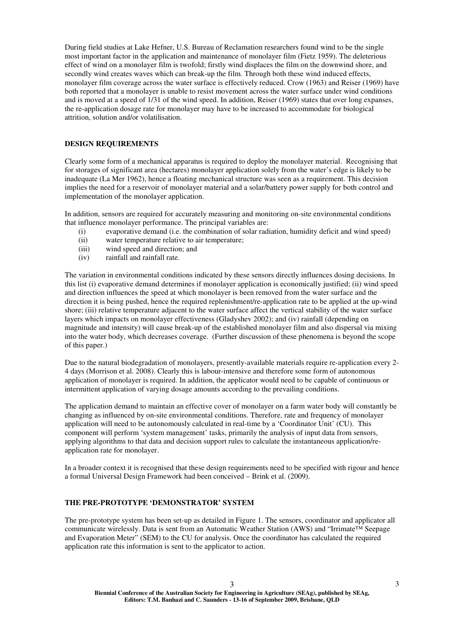During field studies at Lake Hefner, U.S. Bureau of Reclamation researchers found wind to be the single most important factor in the application and maintenance of monolayer film (Fietz 1959). The deleterious effect of wind on a monolayer film is twofold; firstly wind displaces the film on the downwind shore, and secondly wind creates waves which can break-up the film. Through both these wind induced effects, monolayer film coverage across the water surface is effectively reduced. Crow (1963) and Reiser (1969) have both reported that a monolayer is unable to resist movement across the water surface under wind conditions and is moved at a speed of 1/31 of the wind speed. In addition, Reiser (1969) states that over long expanses, the re-application dosage rate for monolayer may have to be increased to accommodate for biological attrition, solution and/or volatilisation.

# **DESIGN REQUIREMENTS**

Clearly some form of a mechanical apparatus is required to deploy the monolayer material. Recognising that for storages of significant area (hectares) monolayer application solely from the water's edge is likely to be inadequate (La Mer 1962), hence a floating mechanical structure was seen as a requirement. This decision implies the need for a reservoir of monolayer material and a solar/battery power supply for both control and implementation of the monolayer application.

In addition, sensors are required for accurately measuring and monitoring on-site environmental conditions that influence monolayer performance. The principal variables are:

- (i) evaporative demand (i.e. the combination of solar radiation, humidity deficit and wind speed)
- (ii) water temperature relative to air temperature;
- (iii) wind speed and direction; and
- (iv) rainfall and rainfall rate.

The variation in environmental conditions indicated by these sensors directly influences dosing decisions. In this list (i) evaporative demand determines if monolayer application is economically justified; (ii) wind speed and direction influences the speed at which monolayer is been removed from the water surface and the direction it is being pushed, hence the required replenishment/re-application rate to be applied at the up-wind shore; (iii) relative temperature adjacent to the water surface affect the vertical stability of the water surface layers which impacts on monolayer effectiveness (Gladyshev 2002); and (iv) rainfall (depending on magnitude and intensity) will cause break-up of the established monolayer film and also dispersal via mixing into the water body, which decreases coverage. (Further discussion of these phenomena is beyond the scope of this paper.)

Due to the natural biodegradation of monolayers, presently-available materials require re-application every 2- 4 days (Morrison et al. 2008). Clearly this is labour-intensive and therefore some form of autonomous application of monolayer is required. In addition, the applicator would need to be capable of continuous or intermittent application of varying dosage amounts according to the prevailing conditions.

The application demand to maintain an effective cover of monolayer on a farm water body will constantly be changing as influenced by on-site environmental conditions. Therefore, rate and frequency of monolayer application will need to be autonomously calculated in real-time by a 'Coordinator Unit' (CU). This component will perform 'system management' tasks, primarily the analysis of input data from sensors, applying algorithms to that data and decision support rules to calculate the instantaneous application/reapplication rate for monolayer.

In a broader context it is recognised that these design requirements need to be specified with rigour and hence a formal Universal Design Framework had been conceived – Brink et al. (2009).

## **THE PRE-PROTOTYPE 'DEMONSTRATOR' SYSTEM**

The pre-prototype system has been set-up as detailed in Figure 1. The sensors, coordinator and applicator all communicate wirelessly. Data is sent from an Automatic Weather Station (AWS) and "Irrimate™ Seepage and Evaporation Meter" (SEM) to the CU for analysis. Once the coordinator has calculated the required application rate this information is sent to the applicator to action.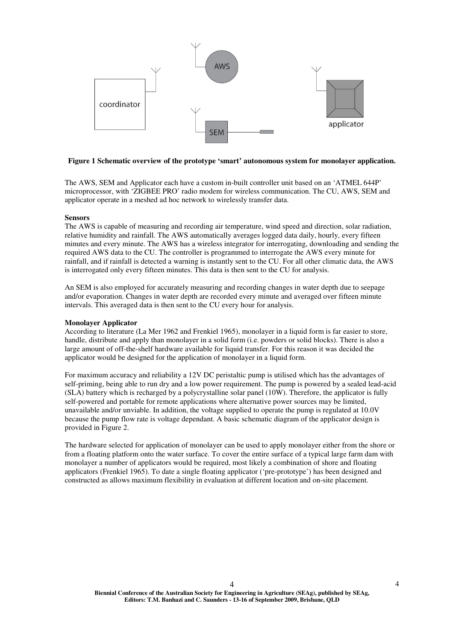

### **Figure 1 Schematic overview of the prototype 'smart' autonomous system for monolayer application.**

The AWS, SEM and Applicator each have a custom in-built controller unit based on an 'ATMEL 644P' microprocessor, with 'ZIGBEE PRO' radio modem for wireless communication. The CU, AWS, SEM and applicator operate in a meshed ad hoc network to wirelessly transfer data.

#### **Sensors**

The AWS is capable of measuring and recording air temperature, wind speed and direction, solar radiation, relative humidity and rainfall. The AWS automatically averages logged data daily, hourly, every fifteen minutes and every minute. The AWS has a wireless integrator for interrogating, downloading and sending the required AWS data to the CU. The controller is programmed to interrogate the AWS every minute for rainfall, and if rainfall is detected a warning is instantly sent to the CU. For all other climatic data, the AWS is interrogated only every fifteen minutes. This data is then sent to the CU for analysis.

An SEM is also employed for accurately measuring and recording changes in water depth due to seepage and/or evaporation. Changes in water depth are recorded every minute and averaged over fifteen minute intervals. This averaged data is then sent to the CU every hour for analysis.

### **Monolayer Applicator**

According to literature (La Mer 1962 and Frenkiel 1965), monolayer in a liquid form is far easier to store, handle, distribute and apply than monolayer in a solid form (i.e. powders or solid blocks). There is also a large amount of off-the-shelf hardware available for liquid transfer. For this reason it was decided the applicator would be designed for the application of monolayer in a liquid form.

For maximum accuracy and reliability a 12V DC peristaltic pump is utilised which has the advantages of self-priming, being able to run dry and a low power requirement. The pump is powered by a sealed lead-acid (SLA) battery which is recharged by a polycrystalline solar panel (10W). Therefore, the applicator is fully self-powered and portable for remote applications where alternative power sources may be limited, unavailable and/or unviable. In addition, the voltage supplied to operate the pump is regulated at 10.0V because the pump flow rate is voltage dependant. A basic schematic diagram of the applicator design is provided in Figure 2.

The hardware selected for application of monolayer can be used to apply monolayer either from the shore or from a floating platform onto the water surface. To cover the entire surface of a typical large farm dam with monolayer a number of applicators would be required, most likely a combination of shore and floating applicators (Frenkiel 1965). To date a single floating applicator ('pre-prototype') has been designed and constructed as allows maximum flexibility in evaluation at different location and on-site placement.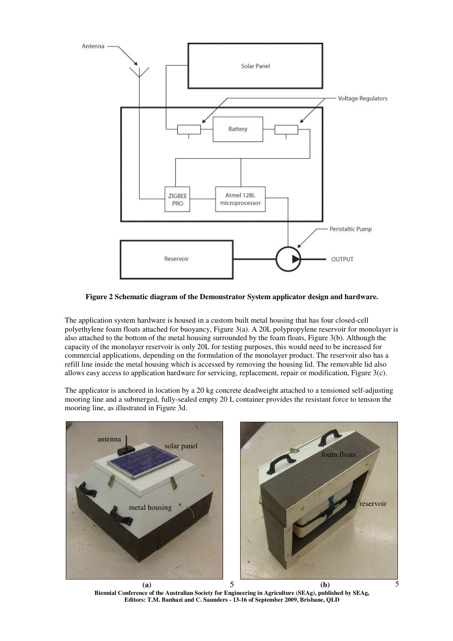

**Figure 2 Schematic diagram of the Demonstrator System applicator design and hardware.** 

The application system hardware is housed in a custom built metal housing that has four closed-cell polyethylene foam floats attached for buoyancy, Figure 3(a). A 20L polypropylene reservoir for monolayer is also attached to the bottom of the metal housing surrounded by the foam floats, Figure 3(b). Although the capacity of the monolayer reservoir is only 20L for testing purposes, this would need to be increased for commercial applications, depending on the formulation of the monolayer product. The reservoir also has a refill line inside the metal housing which is accessed by removing the housing lid. The removable lid also allows easy access to application hardware for servicing, replacement, repair or modification, Figure 3(c).

The applicator is anchored in location by a 20 kg concrete deadweight attached to a tensioned self-adjusting mooring line and a submerged, fully-sealed empty 20 L container provides the resistant force to tension the mooring line, as illustrated in Figure 3d.



**Biennial Conference of the Australian Society for Engineering in Agriculture (SEAg), published by SEAg, Editors: T.M. Banhazi and C. Saunders - 13-16 of September 2009, Brisbane, QLD**  (a)  $5$  (b)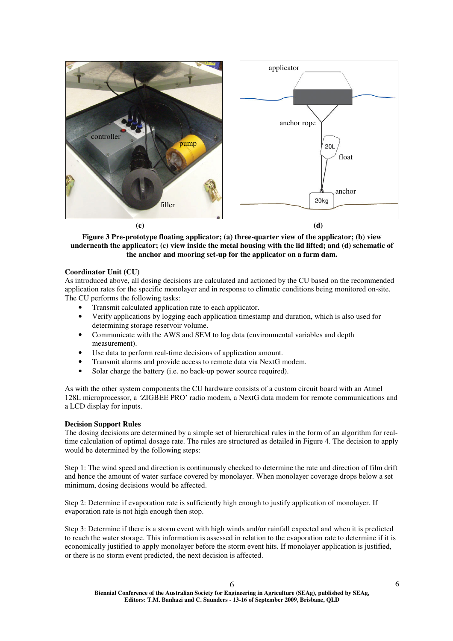



**Figure 3 Pre-prototype floating applicator; (a) three-quarter view of the applicator; (b) view underneath the applicator; (c) view inside the metal housing with the lid lifted; and (d) schematic of the anchor and mooring set-up for the applicator on a farm dam.** 

# **Coordinator Unit (CU)**

As introduced above, all dosing decisions are calculated and actioned by the CU based on the recommended application rates for the specific monolayer and in response to climatic conditions being monitored on-site. The CU performs the following tasks:

- Transmit calculated application rate to each applicator.
- Verify applications by logging each application timestamp and duration, which is also used for determining storage reservoir volume.
- Communicate with the AWS and SEM to log data (environmental variables and depth measurement).
- Use data to perform real-time decisions of application amount.
- Transmit alarms and provide access to remote data via NextG modem.
- Solar charge the battery (i.e. no back-up power source required).

As with the other system components the CU hardware consists of a custom circuit board with an Atmel 128L microprocessor, a 'ZIGBEE PRO' radio modem, a NextG data modem for remote communications and a LCD display for inputs.

#### **Decision Support Rules**

The dosing decisions are determined by a simple set of hierarchical rules in the form of an algorithm for realtime calculation of optimal dosage rate. The rules are structured as detailed in Figure 4. The decision to apply would be determined by the following steps:

Step 1: The wind speed and direction is continuously checked to determine the rate and direction of film drift and hence the amount of water surface covered by monolayer. When monolayer coverage drops below a set minimum, dosing decisions would be affected.

Step 2: Determine if evaporation rate is sufficiently high enough to justify application of monolayer. If evaporation rate is not high enough then stop.

Step 3: Determine if there is a storm event with high winds and/or rainfall expected and when it is predicted to reach the water storage. This information is assessed in relation to the evaporation rate to determine if it is economically justified to apply monolayer before the storm event hits. If monolayer application is justified, or there is no storm event predicted, the next decision is affected.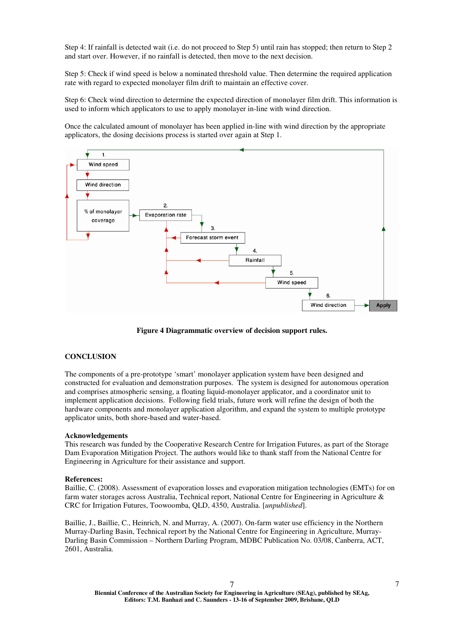Step 4: If rainfall is detected wait (i.e. do not proceed to Step 5) until rain has stopped; then return to Step 2 and start over. However, if no rainfall is detected, then move to the next decision.

Step 5: Check if wind speed is below a nominated threshold value. Then determine the required application rate with regard to expected monolayer film drift to maintain an effective cover.

Step 6: Check wind direction to determine the expected direction of monolayer film drift. This information is used to inform which applicators to use to apply monolayer in-line with wind direction.

Once the calculated amount of monolayer has been applied in-line with wind direction by the appropriate applicators, the dosing decisions process is started over again at Step 1.



**Figure 4 Diagrammatic overview of decision support rules.** 

## **CONCLUSION**

The components of a pre-prototype 'smart' monolayer application system have been designed and constructed for evaluation and demonstration purposes. The system is designed for autonomous operation and comprises atmospheric sensing, a floating liquid-monolayer applicator, and a coordinator unit to implement application decisions. Following field trials, future work will refine the design of both the hardware components and monolayer application algorithm, and expand the system to multiple prototype applicator units, both shore-based and water-based.

#### **Acknowledgements**

This research was funded by the Cooperative Research Centre for Irrigation Futures, as part of the Storage Dam Evaporation Mitigation Project. The authors would like to thank staff from the National Centre for Engineering in Agriculture for their assistance and support.

#### **References:**

Baillie, C. (2008). Assessment of evaporation losses and evaporation mitigation technologies (EMTs) for on farm water storages across Australia, Technical report, National Centre for Engineering in Agriculture & CRC for Irrigation Futures, Toowoomba, QLD, 4350, Australia. [*unpublished*].

Baillie, J., Baillie, C., Heinrich, N. and Murray, A. (2007). On-farm water use efficiency in the Northern Murray-Darling Basin, Technical report by the National Centre for Engineering in Agriculture, Murray-Darling Basin Commission – Northern Darling Program, MDBC Publication No. 03/08, Canberra, ACT, 2601, Australia.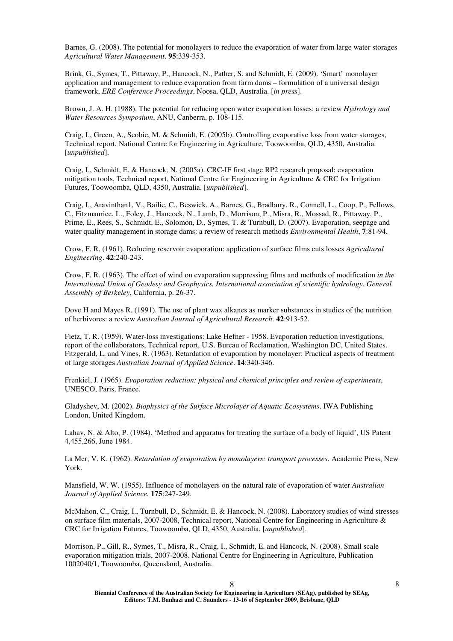Barnes, G. (2008). The potential for monolayers to reduce the evaporation of water from large water storages *Agricultural Water Management*. **95**:339-353.

Brink, G., Symes, T., Pittaway, P., Hancock, N., Pather, S. and Schmidt, E. (2009). 'Smart' monolayer application and management to reduce evaporation from farm dams – formulation of a universal design framework, *ERE Conference Proceedings*, Noosa, QLD, Australia. [*in press*].

Brown, J. A. H. (1988). The potential for reducing open water evaporation losses: a review *Hydrology and Water Resources Symposium*, ANU, Canberra, p. 108-115.

Craig, I., Green, A., Scobie, M. & Schmidt, E. (2005b). Controlling evaporative loss from water storages, Technical report, National Centre for Engineering in Agriculture, Toowoomba, QLD, 4350, Australia. [*unpublished*].

Craig, I., Schmidt, E. & Hancock, N. (2005a). CRC-IF first stage RP2 research proposal: evaporation mitigation tools, Technical report, National Centre for Engineering in Agriculture & CRC for Irrigation Futures, Toowoomba, QLD, 4350, Australia. [*unpublished*].

Craig, I., Aravinthan1, V., Bailie, C., Beswick, A., Barnes, G., Bradbury, R., Connell, L., Coop, P., Fellows, C., Fitzmaurice, L., Foley, J., Hancock, N., Lamb, D., Morrison, P., Misra, R., Mossad, R., Pittaway, P., Prime, E., Rees, S., Schmidt, E., Solomon, D., Symes, T. & Turnbull, D. (2007). Evaporation, seepage and water quality management in storage dams: a review of research methods *Environmental Health*, **7**:81-94.

Crow, F. R. (1961). Reducing reservoir evaporation: application of surface films cuts losses *Agricultural Engineering*. **42**:240-243.

Crow, F. R. (1963). The effect of wind on evaporation suppressing films and methods of modification *in the International Union of Geodesy and Geophysics. International association of scientific hydrology. General Assembly of Berkeley*, California, p. 26-37.

Dove H and Mayes R. (1991). The use of plant wax alkanes as marker substances in studies of the nutrition of herbivores: a review *Australian Journal of Agricultural Research*. **42**:913-52.

Fietz, T. R. (1959). Water-loss investigations: Lake Hefner - 1958. Evaporation reduction investigations, report of the collaborators, Technical report, U.S. Bureau of Reclamation, Washington DC, United States. Fitzgerald, L. and Vines, R. (1963). Retardation of evaporation by monolayer: Practical aspects of treatment of large storages *Australian Journal of Applied Science*. **14**:340-346.

Frenkiel, J. (1965). *Evaporation reduction: physical and chemical principles and review of experiments*, UNESCO, Paris, France.

Gladyshev, M. (2002). *Biophysics of the Surface Microlayer of Aquatic Ecosystems*. IWA Publishing London, United Kingdom.

Lahav, N. & Alto, P. (1984). 'Method and apparatus for treating the surface of a body of liquid', US Patent 4,455,266, June 1984.

La Mer, V. K. (1962). *Retardation of evaporation by monolayers: transport processes*. Academic Press, New York.

Mansfield, W. W. (1955). Influence of monolayers on the natural rate of evaporation of water *Australian Journal of Applied Science.* **175**:247-249.

McMahon, C., Craig, I., Turnbull, D., Schmidt, E. & Hancock, N. (2008). Laboratory studies of wind stresses on surface film materials, 2007-2008, Technical report, National Centre for Engineering in Agriculture & CRC for Irrigation Futures, Toowoomba, QLD, 4350, Australia. [*unpublished*].

Morrison, P., Gill, R., Symes, T., Misra, R., Craig, I., Schmidt, E. and Hancock, N. (2008). Small scale evaporation mitigation trials, 2007-2008. National Centre for Engineering in Agriculture, Publication 1002040/1, Toowoomba, Queensland, Australia.